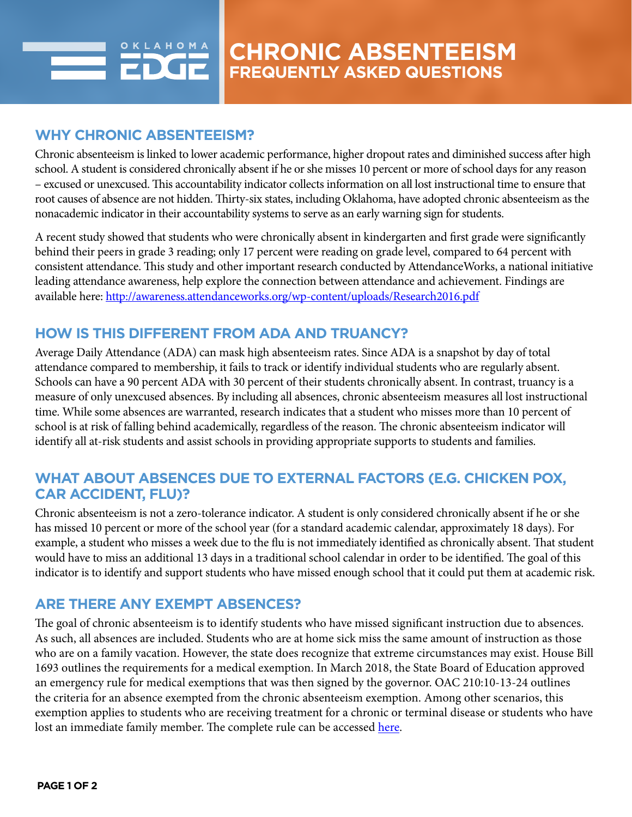# **WHY CHRONIC ABSENTEEISM?**

Chronic absenteeism is linked to lower academic performance, higher dropout rates and diminished success after high school. A student is considered chronically absent if he or she misses 10 percent or more of school days for any reason – excused or unexcused. This accountability indicator collects information on all lost instructional time to ensure that root causes of absence are not hidden. Thirty-six states, including Oklahoma, have adopted chronic absenteeism as the nonacademic indicator in their accountability systems to serve as an early warning sign for students.

A recent study showed that students who were chronically absent in kindergarten and first grade were significantly behind their peers in grade 3 reading; only 17 percent were reading on grade level, compared to 64 percent with consistent attendance. This study and other important research conducted by AttendanceWorks, a national initiative leading attendance awareness, help explore the connection between attendance and achievement. Findings are available here:<http://awareness.attendanceworks.org/wp-content/uploads/Research2016.pdf>

# **HOW IS THIS DIFFERENT FROM ADA AND TRUANCY?**

Average Daily Attendance (ADA) can mask high absenteeism rates. Since ADA is a snapshot by day of total attendance compared to membership, it fails to track or identify individual students who are regularly absent. Schools can have a 90 percent ADA with 30 percent of their students chronically absent. In contrast, truancy is a measure of only unexcused absences. By including all absences, chronic absenteeism measures all lost instructional time. While some absences are warranted, research indicates that a student who misses more than 10 percent of school is at risk of falling behind academically, regardless of the reason. The chronic absenteeism indicator will identify all at-risk students and assist schools in providing appropriate supports to students and families.

### **WHAT ABOUT ABSENCES DUE TO EXTERNAL FACTORS (E.G. CHICKEN POX, CAR ACCIDENT, FLU)?**

Chronic absenteeism is not a zero-tolerance indicator. A student is only considered chronically absent if he or she has missed 10 percent or more of the school year (for a standard academic calendar, approximately 18 days). For example, a student who misses a week due to the flu is not immediately identified as chronically absent. That student would have to miss an additional 13 days in a traditional school calendar in order to be identified. The goal of this indicator is to identify and support students who have missed enough school that it could put them at academic risk.

## **ARE THERE ANY EXEMPT ABSENCES?**

The goal of chronic absenteeism is to identify students who have missed significant instruction due to absences. As such, all absences are included. Students who are at home sick miss the same amount of instruction as those who are on a family vacation. However, the state does recognize that extreme circumstances may exist. House Bill 1693 outlines the requirements for a medical exemption. In March 2018, the State Board of Education approved an emergency rule for medical exemptions that was then signed by the governor. OAC 210:10-13-24 outlines the criteria for an absence exempted from the chronic absenteeism exemption. Among other scenarios, this exemption applies to students who are receiving treatment for a chronic or terminal disease or students who have lost an immediate family member. The complete rule can be accessed [here](http://sde.ok.gov/sde/sites/ok.gov.sde/files/PROPOSED%20DRAFT%20210.10-13-24%20Medical%20exemptions%20from%20chronic%20absenteeism.pdf).